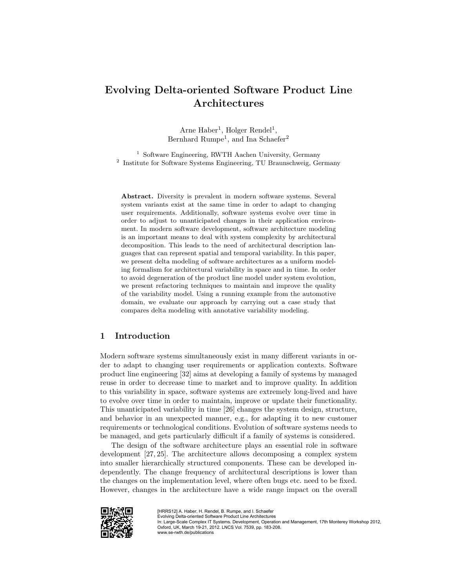# Evolving Delta-oriented Software Product Line Architectures

Arne  $Haber<sup>1</sup>$ , Holger Rendel<sup>1</sup>, Bernhard Rumpe<sup>1</sup>, and Ina Schaefer<sup>2</sup>

<sup>1</sup> Software Engineering, RWTH Aachen University, Germany <sup>2</sup> Institute for Software Systems Engineering, TU Braunschweig, Germany

Abstract. Diversity is prevalent in modern software systems. Several system variants exist at the same time in order to adapt to changing user requirements. Additionally, software systems evolve over time in order to adjust to unanticipated changes in their application environment. In modern software development, software architecture modeling is an important means to deal with system complexity by architectural decomposition. This leads to the need of architectural description languages that can represent spatial and temporal variability. In this paper, we present delta modeling of software architectures as a uniform modeling formalism for architectural variability in space and in time. In order to avoid degeneration of the product line model under system evolution, we present refactoring techniques to maintain and improve the quality of the variability model. Using a running example from the automotive domain, we evaluate our approach by carrying out a case study that compares delta modeling with annotative variability modeling.

# 1 Introduction

Modern software systems simultaneously exist in many different variants in order to adapt to changing user requirements or application contexts. Software product line engineering [32] aims at developing a family of systems by managed reuse in order to decrease time to market and to improve quality. In addition to this variability in space, software systems are extremely long-lived and have to evolve over time in order to maintain, improve or update their functionality. This unanticipated variability in time [26] changes the system design, structure, and behavior in an unexpected manner, e.g., for adapting it to new customer requirements or technological conditions. Evolution of software systems needs to be managed, and gets particularly difficult if a family of systems is considered.

The design of the software architecture plays an essential role in software development [27, 25]. The architecture allows decomposing a complex system into smaller hierarchically structured components. These can be developed independently. The change frequency of architectural descriptions is lower than the changes on the implementation level, where often bugs etc. need to be fixed. However, changes in the architecture have a wide range impact on the overall



[HRRS12] A. Haber, H. Rendel, B. Rumpe, and I. Schaefer Evolving Delta-oriented Software Product Line Architectures In: Large-Scale Complex IT Systems. Development, Operation and Management, 17th Monterey Workshop 2012, Oxford, UK, March 19-21, 2012. LNCS Vol. 7539, pp. 183-208. www.se-rwth.de/publications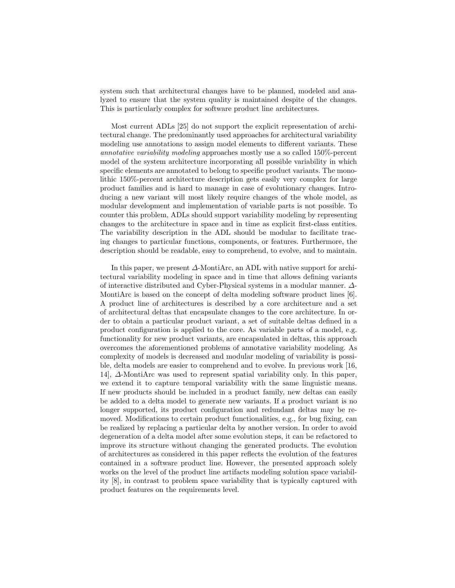system such that architectural changes have to be planned, modeled and analyzed to ensure that the system quality is maintained despite of the changes. This is particularly complex for software product line architectures.

Most current ADLs [25] do not support the explicit representation of architectural change. The predominantly used approaches for architectural variability modeling use annotations to assign model elements to different variants. These annotative variability modeling approaches mostly use a so called 150%-percent model of the system architecture incorporating all possible variability in which specific elements are annotated to belong to specific product variants. The monolithic 150%-percent architecture description gets easily very complex for large product families and is hard to manage in case of evolutionary changes. Introducing a new variant will most likely require changes of the whole model, as modular development and implementation of variable parts is not possible. To counter this problem, ADLs should support variability modeling by representing changes to the architecture in space and in time as explicit first-class entities. The variability description in the ADL should be modular to facilitate tracing changes to particular functions, components, or features. Furthermore, the description should be readable, easy to comprehend, to evolve, and to maintain.

In this paper, we present ∆-MontiArc, an ADL with native support for architectural variability modeling in space and in time that allows defining variants of interactive distributed and Cyber-Physical systems in a modular manner. ∆- MontiArc is based on the concept of delta modeling software product lines [6]. A product line of architectures is described by a core architecture and a set of architectural deltas that encapsulate changes to the core architecture. In order to obtain a particular product variant, a set of suitable deltas defined in a product configuration is applied to the core. As variable parts of a model, e.g. functionality for new product variants, are encapsulated in deltas, this approach overcomes the aforementioned problems of annotative variability modeling. As complexity of models is decreased and modular modeling of variability is possible, delta models are easier to comprehend and to evolve. In previous work [16, 14], ∆-MontiArc was used to represent spatial variability only. In this paper, we extend it to capture temporal variability with the same linguistic means. If new products should be included in a product family, new deltas can easily be added to a delta model to generate new variants. If a product variant is no longer supported, its product configuration and redundant deltas may be removed. Modifications to certain product functionalities, e.g., for bug fixing, can be realized by replacing a particular delta by another version. In order to avoid degeneration of a delta model after some evolution steps, it can be refactored to improve its structure without changing the generated products. The evolution of architectures as considered in this paper reflects the evolution of the features contained in a software product line. However, the presented approach solely works on the level of the product line artifacts modeling solution space variability [8], in contrast to problem space variability that is typically captured with product features on the requirements level.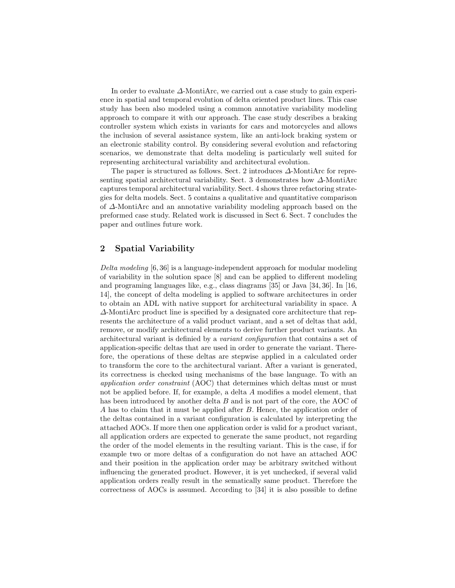In order to evaluate ∆-MontiArc, we carried out a case study to gain experience in spatial and temporal evolution of delta oriented product lines. This case study has been also modeled using a common annotative variability modeling approach to compare it with our approach. The case study describes a braking controller system which exists in variants for cars and motorcycles and allows the inclusion of several assistance system, like an anti-lock braking system or an electronic stability control. By considering several evolution and refactoring scenarios, we demonstrate that delta modeling is particularly well suited for representing architectural variability and architectural evolution.

The paper is structured as follows. Sect. 2 introduces ∆-MontiArc for representing spatial architectural variability. Sect. 3 demonstrates how ∆-MontiArc captures temporal architectural variability. Sect. 4 shows three refactoring strategies for delta models. Sect. 5 contains a qualitative and quantitative comparison of ∆-MontiArc and an annotative variability modeling approach based on the preformed case study. Related work is discussed in Sect 6. Sect. 7 concludes the paper and outlines future work.

# 2 Spatial Variability

Delta modeling [6, 36] is a language-independent approach for modular modeling of variability in the solution space [8] and can be applied to different modeling and programing languages like, e.g., class diagrams [35] or Java [34, 36]. In [16, 14], the concept of delta modeling is applied to software architectures in order to obtain an ADL with native support for architectural variability in space. A ∆-MontiArc product line is specified by a designated core architecture that represents the architecture of a valid product variant, and a set of deltas that add, remove, or modify architectural elements to derive further product variants. An architectural variant is definied by a variant configuration that contains a set of application-specific deltas that are used in order to generate the variant. Therefore, the operations of these deltas are stepwise applied in a calculated order to transform the core to the architectural variant. After a variant is generated, its correctness is checked using mechanisms of the base language. To with an application order constraint (AOC) that determines which deltas must or must not be applied before. If, for example, a delta A modifies a model element, that has been introduced by another delta B and is not part of the core, the AOC of A has to claim that it must be applied after B. Hence, the application order of the deltas contained in a variant configuration is calculated by interpreting the attached AOCs. If more then one application order is valid for a product variant, all application orders are expected to generate the same product, not regarding the order of the model elements in the resulting variant. This is the case, if for example two or more deltas of a configuration do not have an attached AOC and their position in the application order may be arbitrary switched without influencing the generated product. However, it is yet unchecked, if several valid application orders really result in the sematically same product. Therefore the correctness of AOCs is assumed. According to [34] it is also possible to define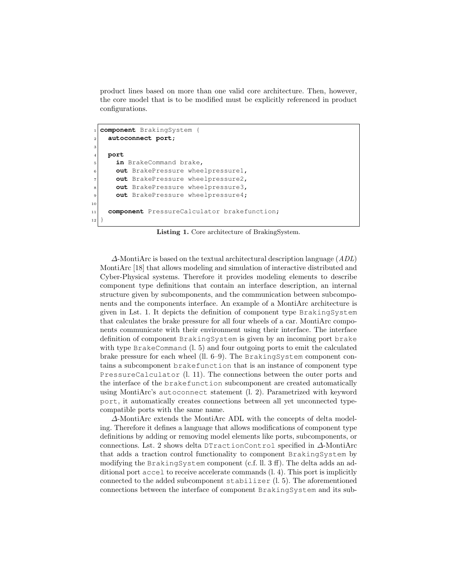product lines based on more than one valid core architecture. Then, however, the core model that is to be modified must be explicitly referenced in product configurations.

```
1 component BrakingSystem {
2 autoconnect port;
3
    4 port
5 in BrakeCommand brake,
6 out BrakePressure wheelpressure1,
7 out BrakePressure wheelpressure2,
8 out BrakePressure wheelpressure3,
9 out BrakePressure wheelpressure4;
10
11 component PressureCalculator brakefunction;
12 }
```
Listing 1. Core architecture of BrakingSystem.

 $\Delta$ -MontiArc is based on the textual architectural description language (ADL) MontiArc [18] that allows modeling and simulation of interactive distributed and Cyber-Physical systems. Therefore it provides modeling elements to describe component type definitions that contain an interface description, an internal structure given by subcomponents, and the communication between subcomponents and the components interface. An example of a MontiArc architecture is given in Lst. 1. It depicts the definition of component type BrakingSystem that calculates the brake pressure for all four wheels of a car. MontiArc components communicate with their environment using their interface. The interface definition of component BrakingSystem is given by an incoming port brake with type BrakeCommand (l. 5) and four outgoing ports to emit the calculated brake pressure for each wheel (ll. 6–9). The BrakingSystem component contains a subcomponent brakefunction that is an instance of component type PressureCalculator (l. 11). The connections between the outer ports and the interface of the brakefunction subcomponent are created automatically using MontiArc's autoconnect statement (l. 2). Parametrized with keyword port, it automatically creates connections between all yet unconnected typecompatible ports with the same name.

∆-MontiArc extends the MontiArc ADL with the concepts of delta modeling. Therefore it defines a language that allows modifications of component type definitions by adding or removing model elements like ports, subcomponents, or connections. Lst. 2 shows delta DTractionControl specified in ∆-MontiArc that adds a traction control functionality to component BrakingSystem by modifying the Braking System component  $(c.f. \,ll 1. \,3 \,ff)$ . The delta adds an additional port accel to receive accelerate commands (l. 4). This port is implicitly connected to the added subcomponent stabilizer (l. 5). The aforementioned connections between the interface of component BrakingSystem and its sub-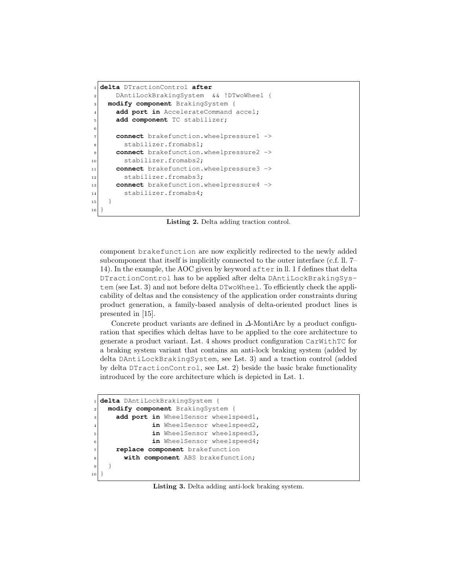```
1 delta DTractionControl after
2 DAntiLockBrakingSystem && !DTwoWheel {
3 modify component BrakingSystem {
4 add port in AccelerateCommand accel;
5 add component TC stabilizer;
6
7 connect brakefunction.wheelpressure1 ->
8 stabilizer.fromabs1;
9 connect brakefunction.wheelpressure2 ->
10 stabilizer.fromabs2;
11 connect brakefunction.wheelpressure3 ->
12 stabilizer.fromabs3;
13 connect brakefunction.wheelpressure4 ->
14 stabilizer.fromabs4;
15 }
16}
```
Listing 2. Delta adding traction control.

component brakefunction are now explicitly redirected to the newly added subcomponent that itself is implicitly connected to the outer interface (c.f. ll. 7– 14). In the example, the AOC given by keyword after in ll. 1 f defines that delta DTractionControl has to be applied after delta DAntiLockBrakingSystem (see Lst. 3) and not before delta DTwoWheel. To efficiently check the applicability of deltas and the consistency of the application order constraints during product generation, a family-based analysis of delta-oriented product lines is presented in [15].

Concrete product variants are defined in  $\Delta$ -MontiArc by a product configuration that specifies which deltas have to be applied to the core architecture to generate a product variant. Lst. 4 shows product configuration CarWithTC for a braking system variant that contains an anti-lock braking system (added by delta DAntiLockBrakingSystem, see Lst. 3) and a traction control (added by delta DTractionControl, see Lst. 2) beside the basic brake functionality introduced by the core architecture which is depicted in Lst. 1.

```
1 delta DAntiLockBrakingSystem {
2 modify component BrakingSystem {
<sup>3</sup> add port in WheelSensor wheelspeed1,
              in WheelSensor wheelspeed2,
5 in WheelSensor wheelspeed3,
6 in WheelSensor wheelspeed4;
     7 replace component brakefunction
       with component ABS brakefunction;
9 }
10 }
```
Listing 3. Delta adding anti-lock braking system.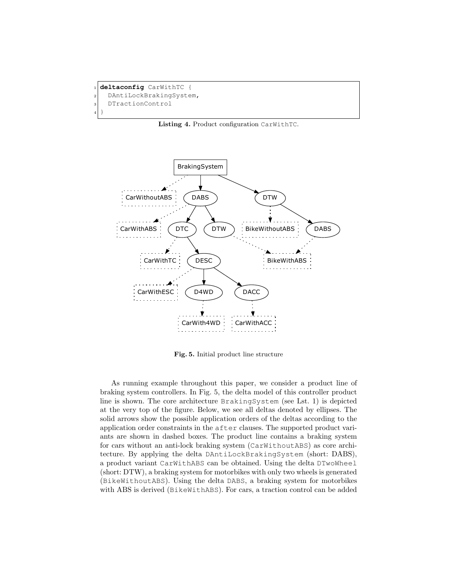```
1 deltaconfig CarWithTC {
2 DAntiLockBrakingSystem,
3 DTractionControl
4 }
```
Listing 4. Product configuration CarWithTC.



Fig. 5. Initial product line structure

As running example throughout this paper, we consider a product line of braking system controllers. In Fig. 5, the delta model of this controller product line is shown. The core architecture BrakingSystem (see Lst. 1) is depicted at the very top of the figure. Below, we see all deltas denoted by ellipses. The solid arrows show the possible application orders of the deltas according to the application order constraints in the after clauses. The supported product variants are shown in dashed boxes. The product line contains a braking system for cars without an anti-lock braking system (CarWithoutABS) as core architecture. By applying the delta DAntiLockBrakingSystem (short: DABS), a product variant CarWithABS can be obtained. Using the delta DTwoWheel (short: DTW), a braking system for motorbikes with only two wheels is generated (BikeWithoutABS). Using the delta DABS, a braking system for motorbikes with ABS is derived (BikeWithABS). For cars, a traction control can be added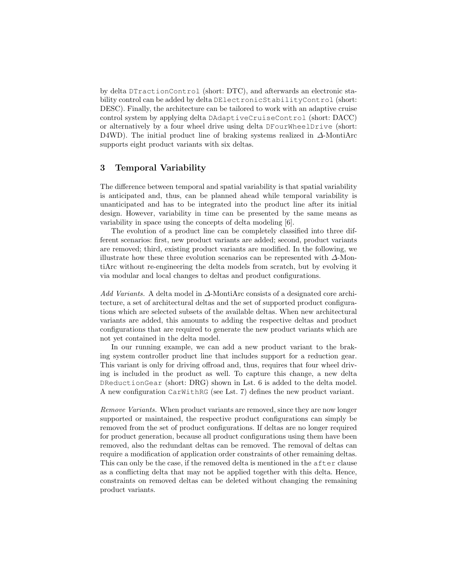by delta DTractionControl (short: DTC), and afterwards an electronic stability control can be added by delta DElectronicStabilityControl (short: DESC). Finally, the architecture can be tailored to work with an adaptive cruise control system by applying delta DAdaptiveCruiseControl (short: DACC) or alternatively by a four wheel drive using delta DFourWheelDrive (short: D4WD). The initial product line of braking systems realized in ∆-MontiArc supports eight product variants with six deltas.

# 3 Temporal Variability

The difference between temporal and spatial variability is that spatial variability is anticipated and, thus, can be planned ahead while temporal variability is unanticipated and has to be integrated into the product line after its initial design. However, variability in time can be presented by the same means as variability in space using the concepts of delta modeling [6].

The evolution of a product line can be completely classified into three different scenarios: first, new product variants are added; second, product variants are removed; third, existing product variants are modified. In the following, we illustrate how these three evolution scenarios can be represented with ∆-MontiArc without re-engineering the delta models from scratch, but by evolving it via modular and local changes to deltas and product configurations.

Add Variants. A delta model in ∆-MontiArc consists of a designated core architecture, a set of architectural deltas and the set of supported product configurations which are selected subsets of the available deltas. When new architectural variants are added, this amounts to adding the respective deltas and product configurations that are required to generate the new product variants which are not yet contained in the delta model.

In our running example, we can add a new product variant to the braking system controller product line that includes support for a reduction gear. This variant is only for driving offroad and, thus, requires that four wheel driving is included in the product as well. To capture this change, a new delta DReductionGear (short: DRG) shown in Lst. 6 is added to the delta model. A new configuration CarWithRG (see Lst. 7) defines the new product variant.

Remove Variants. When product variants are removed, since they are now longer supported or maintained, the respective product configurations can simply be removed from the set of product configurations. If deltas are no longer required for product generation, because all product configurations using them have been removed, also the redundant deltas can be removed. The removal of deltas can require a modification of application order constraints of other remaining deltas. This can only be the case, if the removed delta is mentioned in the after clause as a conflicting delta that may not be applied together with this delta. Hence, constraints on removed deltas can be deleted without changing the remaining product variants.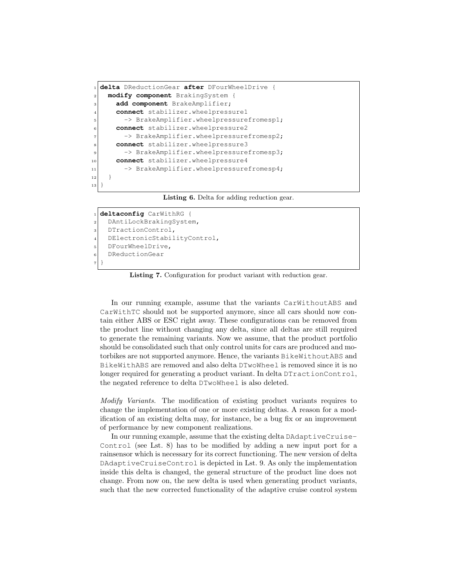```
1 delta DReductionGear after DFourWheelDrive {
2 modify component BrakingSystem {
3 add component BrakeAmplifier;
4 connect stabilizer.wheelpressure1
5 -> BrakeAmplifier.wheelpressurefromesp1;
6 connect stabilizer.wheelpressure2
       -> BrakeAmplifier.wheelpressurefromesp2;
8 connect stabilizer.wheelpressure3
9 -> BrakeAmplifier.wheelpressurefromesp3;
10 connect stabilizer.wheelpressure4
|11| -> BrakeAmplifier.wheelpressurefromesp4;
|12| }
13 }
```
#### Listing 6. Delta for adding reduction gear.

```
1 deltaconfig CarWithRG {
2 DAntiLockBrakingSystem,
3 DTractionControl,
4 DElectronicStabilityControl,
5 DFourWheelDrive,
6 DReductionGear
7 }
```
Listing 7. Configuration for product variant with reduction gear.

In our running example, assume that the variants CarWithoutABS and CarWithTC should not be supported anymore, since all cars should now contain either ABS or ESC right away. These configurations can be removed from the product line without changing any delta, since all deltas are still required to generate the remaining variants. Now we assume, that the product portfolio should be consolidated such that only control units for cars are produced and motorbikes are not supported anymore. Hence, the variants BikeWithoutABS and BikeWithABS are removed and also delta DTwoWheel is removed since it is no longer required for generating a product variant. In delta DTractionControl, the negated reference to delta DTwoWheel is also deleted.

Modify Variants. The modification of existing product variants requires to change the implementation of one or more existing deltas. A reason for a modification of an existing delta may, for instance, be a bug fix or an improvement of performance by new component realizations.

In our running example, assume that the existing delta DAdaptiveCruise-Control (see Lst. 8) has to be modified by adding a new input port for a rainsensor which is necessary for its correct functioning. The new version of delta DAdaptiveCruiseControl is depicted in Lst. 9. As only the implementation inside this delta is changed, the general structure of the product line does not change. From now on, the new delta is used when generating product variants, such that the new corrected functionality of the adaptive cruise control system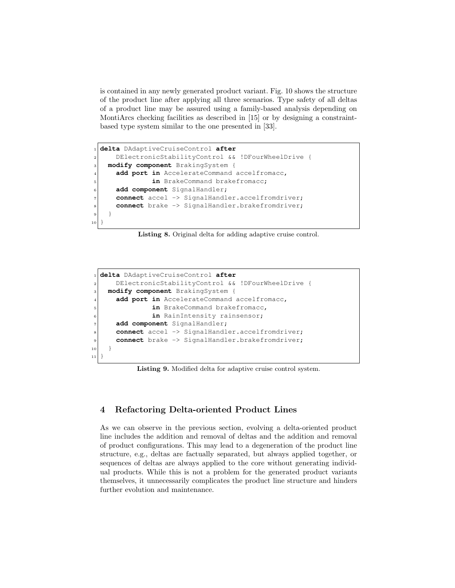is contained in any newly generated product variant. Fig. 10 shows the structure of the product line after applying all three scenarios. Type safety of all deltas of a product line may be assured using a family-based analysis depending on MontiArcs checking facilities as described in [15] or by designing a constraintbased type system similar to the one presented in [33].

```
1 delta DAdaptiveCruiseControl after
2 DElectronicStabilityControl && !DFourWheelDrive {
3 modify component BrakingSystem {
4 add port in AccelerateCommand accelfromacc,
5 in BrakeCommand brakefromacc;
6 add component SignalHandler;
     connect accel -> SignalHandler.accelfromdriver;
     connect brake -> SignalHandler.brakefromdriver;
\overline{9}10 }
```
Listing 8. Original delta for adding adaptive cruise control.

```
1 delta DAdaptiveCruiseControl after
2 DElectronicStabilityControl && !DFourWheelDrive {
3 modify component BrakingSystem {
     add port in AccelerateCommand accelfromacc,
5 in BrakeCommand brakefromacc,
6 in RainIntensity rainsensor;
7 add component SignalHandler;
     8 connect accel -> SignalHandler.accelfromdriver;
9 connect brake -> SignalHandler.brakefromdriver;
10 }
11
```
Listing 9. Modified delta for adaptive cruise control system.

# 4 Refactoring Delta-oriented Product Lines

As we can observe in the previous section, evolving a delta-oriented product line includes the addition and removal of deltas and the addition and removal of product configurations. This may lead to a degeneration of the product line structure, e.g., deltas are factually separated, but always applied together, or sequences of deltas are always applied to the core without generating individual products. While this is not a problem for the generated product variants themselves, it unnecessarily complicates the product line structure and hinders further evolution and maintenance.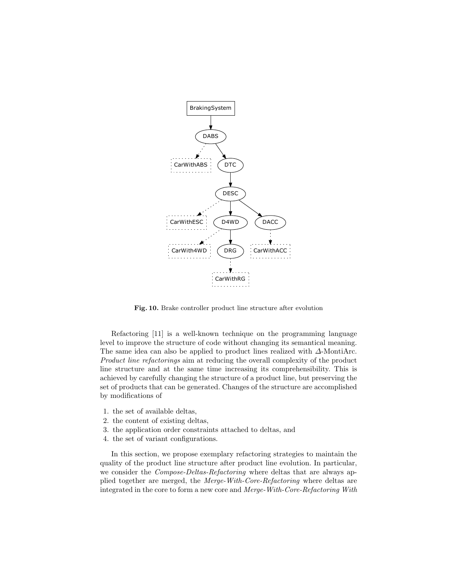

Fig. 10. Brake controller product line structure after evolution

Refactoring [11] is a well-known technique on the programming language level to improve the structure of code without changing its semantical meaning. The same idea can also be applied to product lines realized with ∆-MontiArc. Product line refactorings aim at reducing the overall complexity of the product line structure and at the same time increasing its comprehensibility. This is achieved by carefully changing the structure of a product line, but preserving the set of products that can be generated. Changes of the structure are accomplished by modifications of

- 1. the set of available deltas,
- 2. the content of existing deltas,
- 3. the application order constraints attached to deltas, and
- 4. the set of variant configurations.

In this section, we propose exemplary refactoring strategies to maintain the quality of the product line structure after product line evolution. In particular, we consider the *Compose-Deltas-Refactoring* where deltas that are always applied together are merged, the Merge-With-Core-Refactoring where deltas are integrated in the core to form a new core and Merge-With-Core-Refactoring With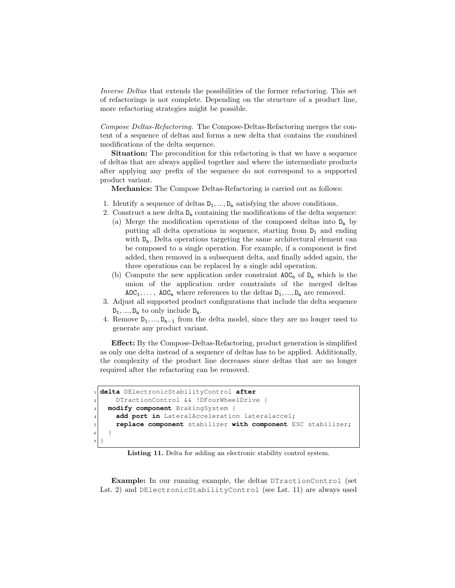Inverse Deltas that extends the possibilities of the former refactoring. This set of refactorings is not complete. Depending on the structure of a product line, more refactoring strategies might be possible.

Compose Deltas-Refactoring. The Compose-Deltas-Refactoring merges the content of a sequence of deltas and forms a new delta that contains the combined modifications of the delta sequence.

Situation: The precondition for this refactoring is that we have a sequence of deltas that are always applied together and where the intermediate products after applying any prefix of the sequence do not correspond to a supported product variant.

Mechanics: The Compose Deltas-Refactoring is carried out as follows:

- 1. Identify a sequence of deltas  $D_1, ..., D_n$  satisfying the above conditions.
- 2. Construct a new delta  $D_n$  containing the modifications of the delta sequence:
	- (a) Merge the modification operations of the composed deltas into  $D_n$  by putting all delta operations in sequence, starting from  $D_1$  and ending with  $D_n$ . Delta operations targeting the same architectural element can be composed to a single operation. For example, if a component is first added, then removed in a subsequent delta, and finally added again, the three operations can be replaced by a single add operation.
	- (b) Compute the new application order constraint  $AOC_n$  of  $D_n$  which is the union of the application order constraints of the merged deltas  $AOC_1, \ldots, AOC_n$  where references to the deltas  $D_1, \ldots, D_n$  are removed.
- 3. Adjust all supported product configurations that include the delta sequence  $D_1, ..., D_n$  to only include  $D_n$ .
- 4. Remove  $D_1, ..., D_{n-1}$  from the delta model, since they are no longer used to generate any product variant.

Effect: By the Compose-Deltas-Refactoring, product generation is simplified as only one delta instead of a sequence of deltas has to be applied. Additionally, the complexity of the product line decreases since deltas that are no longer required after the refactoring can be removed.

```
1 delta DElectronicStabilityControl after
2 DTractionControl && !DFourWheelDrive {
3 modify component BrakingSystem {
4 add port in LateralAcceleration lateralaccel;
     5 replace component stabilizer with component ESC stabilizer;
6 }
7 }
```
Listing 11. Delta for adding an electronic stability control system.

Example: In our running example, the deltas DTractionControl (set Lst. 2) and DElectronicStabilityControl (see Lst. 11) are always used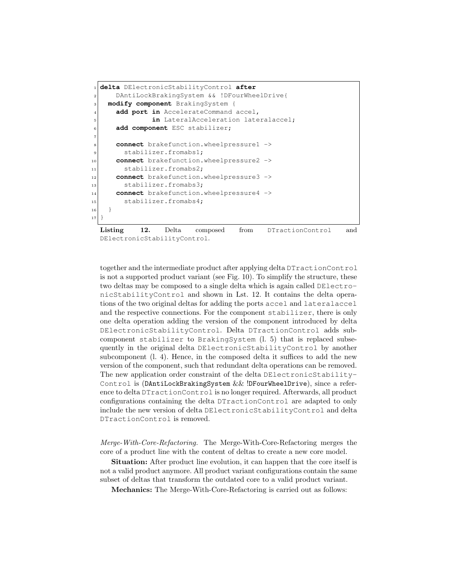```
1 delta DElectronicStabilityControl after
2 DAntiLockBrakingSystem && !DFourWheelDrive{
3 modify component BrakingSystem {
4 add port in AccelerateCommand accel,
5 in LateralAcceleration lateralaccel;
6 add component ESC stabilizer;
7
8 connect brakefunction.wheelpressure1 ->
9 stabilizer.fromabs1;
10 connect brakefunction.wheelpressure2 ->
11 stabilizer.fromabs2;
12 connect brakefunction.wheelpressure3 ->
13 stabilizer.fromabs3;
14 connect brakefunction.wheelpressure4 ->
15 stabilizer.fromabs4;
16 }
17}
```
Listing 12. Delta composed from DTractionControl and DElectronicStabilityControl.

together and the intermediate product after applying delta DTractionControl is not a supported product variant (see Fig. 10). To simplify the structure, these two deltas may be composed to a single delta which is again called DElectronicStabilityControl and shown in Lst. 12. It contains the delta operations of the two original deltas for adding the ports accel and lateralaccel and the respective connections. For the component stabilizer, there is only one delta operation adding the version of the component introduced by delta DElectronicStabilityControl. Delta DTractionControl adds subcomponent stabilizer to BrakingSystem (l. 5) that is replaced subsequently in the original delta DElectronicStabilityControl by another subcomponent (l. 4). Hence, in the composed delta it suffices to add the new version of the component, such that redundant delta operations can be removed. The new application order constraint of the delta DElectronicStability-Control is (DAntiLockBrakingSystem && !DFourWheelDrive), since a reference to delta DTractionControl is no longer required. Afterwards, all product configurations containing the delta DTractionControl are adapted to only include the new version of delta DElectronicStabilityControl and delta DTractionControl is removed.

Merge-With-Core-Refactoring. The Merge-With-Core-Refactoring merges the core of a product line with the content of deltas to create a new core model.

Situation: After product line evolution, it can happen that the core itself is not a valid product anymore. All product variant configurations contain the same subset of deltas that transform the outdated core to a valid product variant.

Mechanics: The Merge-With-Core-Refactoring is carried out as follows: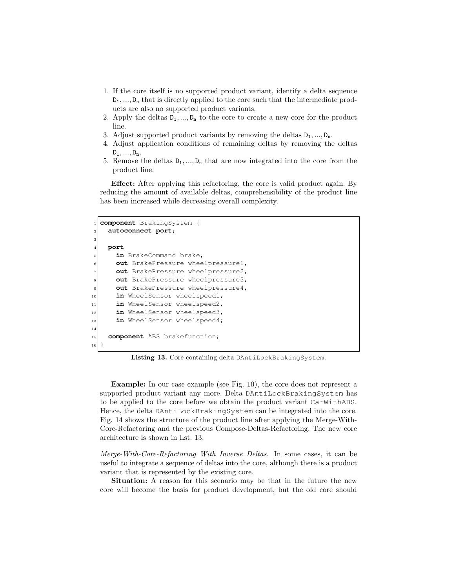- 1. If the core itself is no supported product variant, identify a delta sequence  $D_1, \ldots, D_n$  that is directly applied to the core such that the intermediate products are also no supported product variants.
- 2. Apply the deltas  $D_1, ..., D_n$  to the core to create a new core for the product line.
- 3. Adjust supported product variants by removing the deltas  $D_1, ..., D_n$ .
- 4. Adjust application conditions of remaining deltas by removing the deltas  $D_1, ..., D_n$ .
- 5. Remove the deltas  $D_1, ..., D_n$  that are now integrated into the core from the product line.

Effect: After applying this refactoring, the core is valid product again. By reducing the amount of available deltas, comprehensibility of the product line has been increased while decreasing overall complexity.

```
1 component BrakingSystem {
2 autoconnect port;
3
4 port
5 in BrakeCommand brake,
6 out BrakePressure wheelpressure1,
7 out BrakePressure wheelpressure2,
8 out BrakePressure wheelpressure3,
9 out BrakePressure wheelpressure4,
10 in WheelSensor wheelspeed1,
11 in WheelSensor wheelspeed2,
12 in WheelSensor wheelspeed3,
13 in WheelSensor wheelspeed4;
14
15 component ABS brakefunction;
16 }
```
Listing 13. Core containing delta DAntiLockBrakingSystem.

Example: In our case example (see Fig. 10), the core does not represent a supported product variant any more. Delta DAntiLockBrakingSystem has to be applied to the core before we obtain the product variant CarWithABS. Hence, the delta DAntiLockBrakingSystem can be integrated into the core. Fig. 14 shows the structure of the product line after applying the Merge-With-Core-Refactoring and the previous Compose-Deltas-Refactoring. The new core architecture is shown in Lst. 13.

Merge-With-Core-Refactoring With Inverse Deltas. In some cases, it can be useful to integrate a sequence of deltas into the core, although there is a product variant that is represented by the existing core.

Situation: A reason for this scenario may be that in the future the new core will become the basis for product development, but the old core should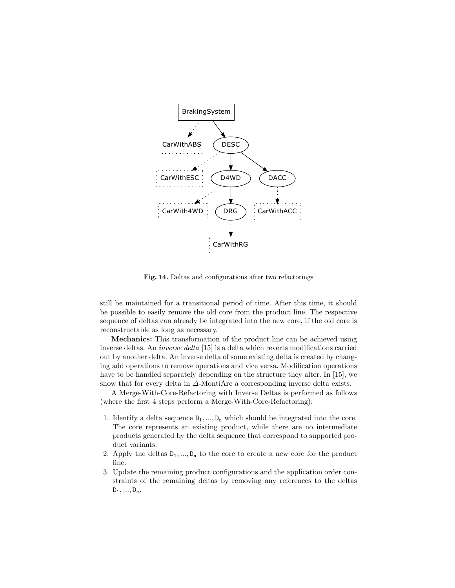

Fig. 14. Deltas and configurations after two refactorings

still be maintained for a transitional period of time. After this time, it should be possible to easily remove the old core from the product line. The respective sequence of deltas can already be integrated into the new core, if the old core is reconstructable as long as necessary.

Mechanics: This transformation of the product line can be achieved using inverse deltas. An *inverse delta* [15] is a delta which reverts modifications carried out by another delta. An inverse delta of some existing delta is created by changing add operations to remove operations and vice versa. Modification operations have to be handled separately depending on the structure they alter. In [15], we show that for every delta in  $\Delta$ -MontiArc a corresponding inverse delta exists.

A Merge-With-Core-Refactoring with Inverse Deltas is performed as follows (where the first 4 steps perform a Merge-With-Core-Refactoring):

- 1. Identify a delta sequence  $D_1, ..., D_n$  which should be integrated into the core. The core represents an existing product, while there are no intermediate products generated by the delta sequence that correspond to supported product variants.
- 2. Apply the deltas  $D_1, ..., D_n$  to the core to create a new core for the product line.
- 3. Update the remaining product configurations and the application order constraints of the remaining deltas by removing any references to the deltas  $D_1, \ldots, D_n.$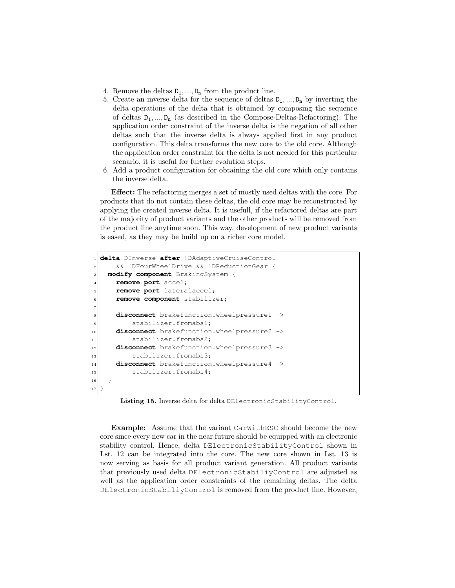- 4. Remove the deltas  $D_1, ..., D_n$  from the product line.
- 5. Create an inverse delta for the sequence of deltas  $D_1, ..., D_n$  by inverting the delta operations of the delta that is obtained by composing the sequence of deltas  $D_1, ..., D_n$  (as described in the Compose-Deltas-Refactoring). The application order constraint of the inverse delta is the negation of all other deltas such that the inverse delta is always applied first in any product configuration. This delta transforms the new core to the old core. Although the application order constraint for the delta is not needed for this particular scenario, it is useful for further evolution steps.
- 6. Add a product configuration for obtaining the old core which only contains the inverse delta.

Effect: The refactoring merges a set of mostly used deltas with the core. For products that do not contain these deltas, the old core may be reconstructed by applying the created inverse delta. It is usefull, if the refactored deltas are part of the majority of product variants and the other products will be removed from the product line anytime soon. This way, development of new product variants is eased, as they may be build up on a richer core model.

```
1 delta DInverse after !DAdaptiveCruiseControl
2 && !DFourWheelDrive && !DReductionGear {
3 modify component BrakingSystem {
4 remove port accel;
5 remove port lateralaccel;
6 remove component stabilizer;
7
     disconnect brakefunction.wheelpressure1 ->
9 stabilizer.fromabs1;
10 disconnect brakefunction.wheelpressure2 ->
11 stabilizer.fromabs2;
12 disconnect brakefunction.wheelpressure3 ->
13 stabilizer.fromabs3;
14 disconnect brakefunction.wheelpressure4 ->
15 stabilizer.fromabs4;
16 }
17 }
```
Listing 15. Inverse delta for delta DElectronicStabilityControl.

Example: Assume that the variant CarWithESC should become the new core since every new car in the near future should be equipped with an electronic stability control. Hence, delta DElectronicStabilityControl shown in Lst. 12 can be integrated into the core. The new core shown in Lst. 13 is now serving as basis for all product variant generation. All product variants that previously used delta DElectronicStabiliyControl are adjusted as well as the application order constraints of the remaining deltas. The delta DElectronicStabiliyControl is removed from the product line. However,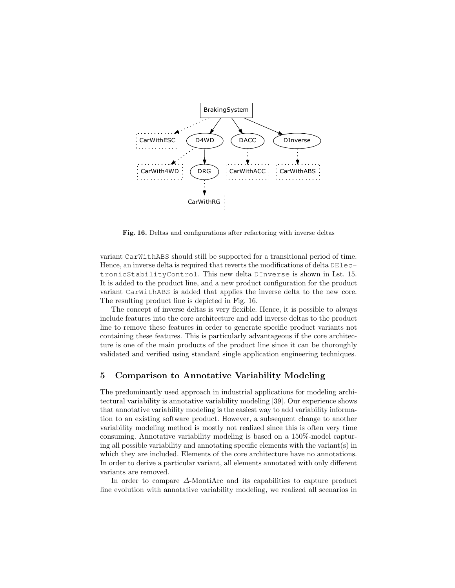

Fig. 16. Deltas and configurations after refactoring with inverse deltas

variant CarWithABS should still be supported for a transitional period of time. Hence, an inverse delta is required that reverts the modifications of delta DElectronicStabilityControl. This new delta DInverse is shown in Lst. 15. It is added to the product line, and a new product configuration for the product variant CarWithABS is added that applies the inverse delta to the new core. The resulting product line is depicted in Fig. 16.

The concept of inverse deltas is very flexible. Hence, it is possible to always include features into the core architecture and add inverse deltas to the product line to remove these features in order to generate specific product variants not containing these features. This is particularly advantageous if the core architecture is one of the main products of the product line since it can be thoroughly validated and verified using standard single application engineering techniques.

# 5 Comparison to Annotative Variability Modeling

The predominantly used approach in industrial applications for modeling architectural variability is annotative variability modeling [39]. Our experience shows that annotative variability modeling is the easiest way to add variability information to an existing software product. However, a subsequent change to another variability modeling method is mostly not realized since this is often very time consuming. Annotative variability modeling is based on a 150%-model capturing all possible variability and annotating specific elements with the variant(s) in which they are included. Elements of the core architecture have no annotations. In order to derive a particular variant, all elements annotated with only different variants are removed.

In order to compare ∆-MontiArc and its capabilities to capture product line evolution with annotative variability modeling, we realized all scenarios in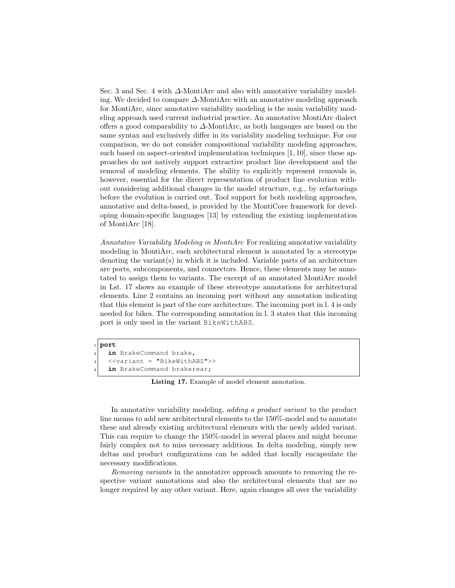Sec. 3 and Sec. 4 with ∆-MontiArc and also with annotative variability modeling. We decided to compare ∆-MontiArc with an annotative modeling approach for MontiArc, since annotative variability modeling is the main variability modeling approach used current industrial practice. An annotative MontiArc dialect offers a good comparability to ∆-MontiArc, as both langauges are based on the same syntax and exclusively differ in its variability modeling technique. For our comparison, we do not consider compositional variability modeling approaches, such based on aspect-oriented implementation techniques [1, 10], since these approaches do not natively support extractive product line development and the removal of modeling elements. The ability to explicitly represent removals is, however, essential for the direct representation of product line evolution without considering additional changes in the model structure, e.g., by refactorings before the evolution is carried out. Tool support for both modeling approaches, annotative and delta-based, is provided by the MontiCore framework for developing domain-specific languages [13] by extending the existing implementation of MontiArc [18].

Annotative Variability Modeling in MontiArc For realizing annotative variability modeling in MontiArc, each architectural element is annotated by a stereotype denoting the variant(s) in which it is included. Variable parts of an architecture are ports, subcomponents, and connectors. Hence, these elements may be annotated to assign them to variants. The excerpt of an annotated MontiArc model in Lst. 17 shows an example of these stereotype annotations for architectural elements. Line 2 contains an incoming port without any annotation indicating that this element is part of the core architecture. The incoming port in l. 4 is only needed for bikes. The corresponding annotation in l. 3 states that this incoming port is only used in the variant BikeWithABS.

<sup>1</sup> **port** 2 **in** BrakeCommand brake,  $_3$  << variant = "BikeWithABS">> in BrakeCommand brakerear;

Listing 17. Example of model element annotation.

In annotative variability modeling, adding a product variant to the product line means to add new architectural elements to the 150%-model and to annotate these and already existing architectural elements with the newly added variant. This can require to change the 150%-model in several places and might become fairly complex not to miss necessary additions. In delta modeling, simply new deltas and product configurations can be added that locally encapsulate the necessary modifications.

Removing variants in the annotative approach amounts to removing the respective variant annotations and also the architectural elements that are no longer required by any other variant. Here, again changes all over the variability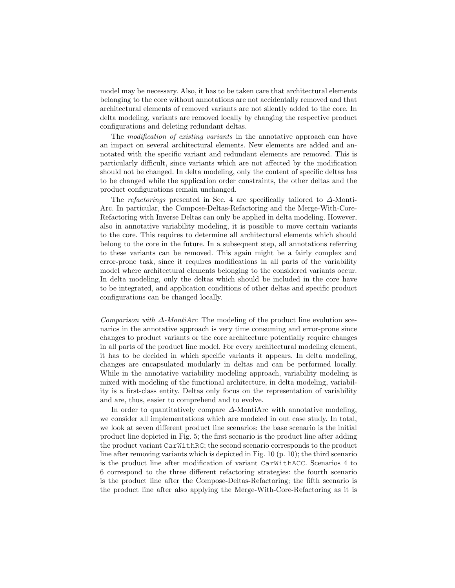model may be necessary. Also, it has to be taken care that architectural elements belonging to the core without annotations are not accidentally removed and that architectural elements of removed variants are not silently added to the core. In delta modeling, variants are removed locally by changing the respective product configurations and deleting redundant deltas.

The *modification of existing variants* in the annotative approach can have an impact on several architectural elements. New elements are added and annotated with the specific variant and redundant elements are removed. This is particularly difficult, since variants which are not affected by the modification should not be changed. In delta modeling, only the content of specific deltas has to be changed while the application order constraints, the other deltas and the product configurations remain unchanged.

The refactorings presented in Sec. 4 are specifically tailored to  $\Delta$ -Monti-Arc. In particular, the Compose-Deltas-Refactoring and the Merge-With-Core-Refactoring with Inverse Deltas can only be applied in delta modeling. However, also in annotative variability modeling, it is possible to move certain variants to the core. This requires to determine all architectural elements which should belong to the core in the future. In a subsequent step, all annotations referring to these variants can be removed. This again might be a fairly complex and error-prone task, since it requires modifications in all parts of the variability model where architectural elements belonging to the considered variants occur. In delta modeling, only the deltas which should be included in the core have to be integrated, and application conditions of other deltas and specific product configurations can be changed locally.

*Comparison with*  $\Delta$ -*MontiArc* The modeling of the product line evolution scenarios in the annotative approach is very time consuming and error-prone since changes to product variants or the core architecture potentially require changes in all parts of the product line model. For every architectural modeling element, it has to be decided in which specific variants it appears. In delta modeling, changes are encapsulated modularly in deltas and can be performed locally. While in the annotative variability modeling approach, variability modeling is mixed with modeling of the functional architecture, in delta modeling, variability is a first-class entity. Deltas only focus on the representation of variability and are, thus, easier to comprehend and to evolve.

In order to quantitatively compare ∆-MontiArc with annotative modeling, we consider all implementations which are modeled in out case study. In total, we look at seven different product line scenarios: the base scenario is the initial product line depicted in Fig. 5; the first scenario is the product line after adding the product variant CarWithRG; the second scenario corresponds to the product line after removing variants which is depicted in Fig. 10 (p. 10); the third scenario is the product line after modification of variant CarWithACC. Scenarios 4 to 6 correspond to the three different refactoring strategies: the fourth scenario is the product line after the Compose-Deltas-Refactoring; the fifth scenario is the product line after also applying the Merge-With-Core-Refactoring as it is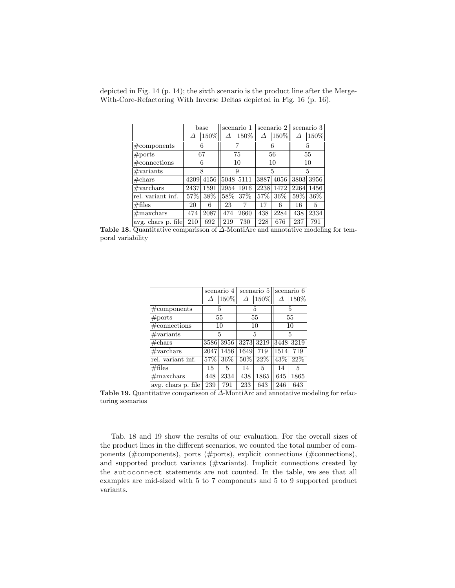|                      | base |           | scenario 1 |           | scenario 2 |      | scenario 3 |      |
|----------------------|------|-----------|------------|-----------|------------|------|------------|------|
|                      |      | $ 150\% $ |            | 150%      |            | 150% |            | 150% |
| #components          | 6    |           |            |           | 6          |      | 5          |      |
| #ports               | 67   |           | 75         |           | 56         |      | 55         |      |
| $# \,$ connections   | 6    |           | 10         |           | 10         |      | 10         |      |
| #variants            | 8    |           | 9          |           | 5          |      | 5          |      |
| $\# \text{chars}$    | 4209 | 4156      |            | 5048 5111 | 3887       | 4056 | 3803       | 3956 |
| $\# \text{varchars}$ | 2437 | 1591      | 2954       | 1916      | 2238       | 1472 | 2264       | 1456 |
| rel. variant inf.    | 57%  | 38\%      | 58%        | 37\%      | 57\%       | 36%  | 59%        | 36%  |
| # files              | 20   | 6         | 23         |           | 17         | 6    | 16         | 5    |
| $\#maxchars$         | 474  | 2087      | 474        | 2660      | 438        | 2284 | 438        | 2334 |
| avg. chars p. file   | 210  | 692       | 219        | 730       | 228        | 676  | 237        | 791  |

depicted in Fig. 14 (p. 14); the sixth scenario is the product line after the Merge-With-Core-Refactoring With Inverse Deltas depicted in Fig. 16 (p. 16).

Table 18. Quantitative comparisson of ∆-MontiArc and annotative modeling for temporal variability

|                             | scenario 4 |        |           | scenario 5 | scenario 6 |           |  |
|-----------------------------|------------|--------|-----------|------------|------------|-----------|--|
|                             | Δ          | 150%   | $\Lambda$ | 150%       | Δ          | $ 150\% $ |  |
| #components                 | 5          |        | 5         |            | 5          |           |  |
| #ports                      | 55         |        | 55        |            | 55         |           |  |
| $# \,$ connections          | 10         |        | 10        |            | 10         |           |  |
| #variants                   | 5          |        | 5         |            | 5          |           |  |
| $\# \text{chars}$           | 3586       | 3956   | 3273      | 3219       | 3448       | 3219      |  |
| #varchars                   | 2047       | 1456   | 1649      | 719        | 1514       | 719       |  |
| rel. variant inf.           | 57\%       | $36\%$ | 50%       | 22%        | 43\%       | 22%       |  |
| # files                     | 15         | 5      | 14        | 5          | 14         | 5         |  |
| $\#maxchars$                | 448        | 2334   | 438       | 1865       | 645        | 1865      |  |
| $\alpha$ avg. chars p. file | 239        | 791    | 233       | 643        | 246        | 643       |  |

Table 19. Quantitative comparisson of ∆-MontiArc and annotative modeling for refactoring scenarios

Tab. 18 and 19 show the results of our evaluation. For the overall sizes of the product lines in the different scenarios, we counted the total number of components (#components), ports (#ports), explicit connections (#connections), and supported product variants (#variants). Implicit connections created by the autoconnect statements are not counted. In the table, we see that all examples are mid-sized with 5 to 7 components and 5 to 9 supported product variants.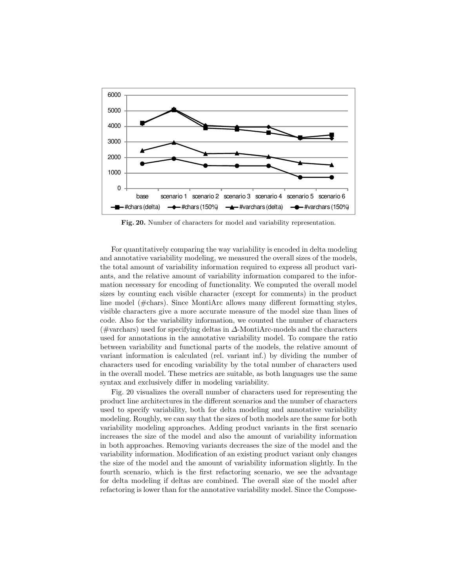

Fig. 20. Number of characters for model and variability representation.

For quantitatively comparing the way variability is encoded in delta modeling and annotative variability modeling, we measured the overall sizes of the models, the total amount of variability information required to express all product variants, and the relative amount of variability information compared to the information necessary for encoding of functionality. We computed the overall model sizes by counting each visible character (except for comments) in the product line model (#chars). Since MontiArc allows many different formatting styles, visible characters give a more accurate measure of the model size than lines of code. Also for the variability information, we counted the number of characters (#varchars) used for specifying deltas in ∆-MontiArc-models and the characters used for annotations in the annotative variability model. To compare the ratio between variability and functional parts of the models, the relative amount of variant information is calculated (rel. variant inf.) by dividing the number of characters used for encoding variability by the total number of characters used in the overall model. These metrics are suitable, as both languages use the same syntax and exclusively differ in modeling variability.

Fig. 20 visualizes the overall number of characters used for representing the product line architectures in the different scenarios and the number of characters used to specify variability, both for delta modeling and annotative variability modeling. Roughly, we can say that the sizes of both models are the same for both variability modeling approaches. Adding product variants in the first scenario increases the size of the model and also the amount of variability information in both approaches. Removing variants decreases the size of the model and the variability information. Modification of an existing product variant only changes the size of the model and the amount of variability information slightly. In the fourth scenario, which is the first refactoring scenario, we see the advantage for delta modeling if deltas are combined. The overall size of the model after refactoring is lower than for the annotative variability model. Since the Compose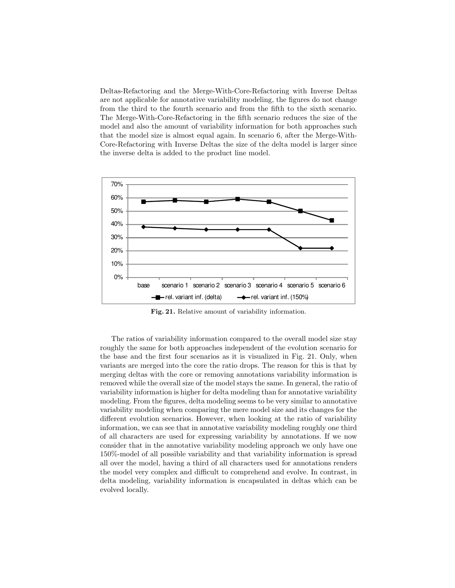Deltas-Refactoring and the Merge-With-Core-Refactoring with Inverse Deltas are not applicable for annotative variability modeling, the figures do not change from the third to the fourth scenario and from the fifth to the sixth scenario. The Merge-With-Core-Refactoring in the fifth scenario reduces the size of the model and also the amount of variability information for both approaches such that the model size is almost equal again. In scenario 6, after the Merge-With-Core-Refactoring with Inverse Deltas the size of the delta model is larger since the inverse delta is added to the product line model.



Fig. 21. Relative amount of variability information.

The ratios of variability information compared to the overall model size stay roughly the same for both approaches independent of the evolution scenario for the base and the first four scenarios as it is visualized in Fig. 21. Only, when variants are merged into the core the ratio drops. The reason for this is that by merging deltas with the core or removing annotations variability information is removed while the overall size of the model stays the same. In general, the ratio of variability information is higher for delta modeling than for annotative variability modeling. From the figures, delta modeling seems to be very similar to annotative variability modeling when comparing the mere model size and its changes for the different evolution scenarios. However, when looking at the ratio of variability information, we can see that in annotative variability modeling roughly one third of all characters are used for expressing variability by annotations. If we now consider that in the annotative variability modeling approach we only have one 150%-model of all possible variability and that variability information is spread all over the model, having a third of all characters used for annotations renders the model very complex and difficult to comprehend and evolve. In contrast, in delta modeling, variability information is encapsulated in deltas which can be evolved locally.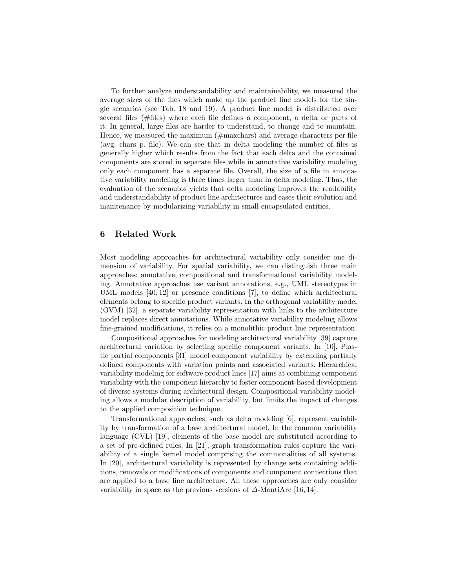To further analyze understandability and maintainability, we measured the average sizes of the files which make up the product line models for the single scenarios (see Tab. 18 and 19). A product line model is distributed over several files (#files) where each file defines a component, a delta or parts of it. In general, large files are harder to understand, to change and to maintain. Hence, we measured the maximum  $(\text{\#maxchars})$  and average characters per file (avg. chars p. file). We can see that in delta modeling the number of files is generally higher which results from the fact that each delta and the contained components are stored in separate files while in annotative variability modeling only each component has a separate file. Overall, the size of a file in annotative variability modeling is three times larger than in delta modeling. Thus, the evaluation of the scenarios yields that delta modeling improves the readability and understandability of product line architectures and eases their evolution and maintenance by modularizing variability in small encapsulated entities.

## 6 Related Work

Most modeling approaches for architectural variability only consider one dimension of variability. For spatial variability, we can distinguish three main approaches: annotative, compositional and transformational variability modeling. Annotative approaches use variant annotations, e.g., UML stereotypes in UML models [40, 12] or presence conditions [7], to define which architectural elements belong to specific product variants. In the orthogonal variability model (OVM) [32], a separate variability representation with links to the architecture model replaces direct annotations. While annotative variability modeling allows fine-grained modifications, it relies on a monolithic product line representation.

Compositional approaches for modeling architectural variability [39] capture architectural variation by selecting specific component variants. In [10], Plastic partial components [31] model component variability by extending partially defined components with variation points and associated variants. Hierarchical variability modeling for software product lines [17] aims at combining component variability with the component hierarchy to foster component-based development of diverse systems during architectural design. Compositional variability modeling allows a modular description of variability, but limits the impact of changes to the applied composition technique.

Transformational approaches, such as delta modeling [6], represent variability by transformation of a base architectural model. In the common variability language (CVL) [19], elements of the base model are substituted according to a set of pre-defined rules. In [21], graph transformation rules capture the variability of a single kernel model comprising the commonalities of all systems. In [20], architectural variability is represented by change sets containing additions, removals or modifications of components and component connections that are applied to a base line architecture. All these approaches are only consider variability in space as the previous versions of  $\Delta$ -MontiArc [16, 14].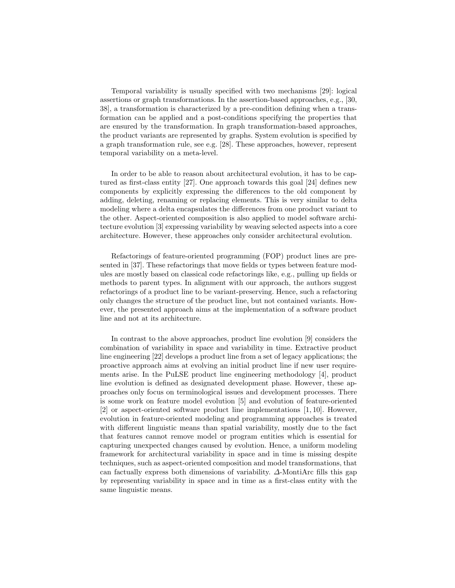Temporal variability is usually specified with two mechanisms [29]: logical assertions or graph transformations. In the assertion-based approaches, e.g., [30, 38], a transformation is characterized by a pre-condition defining when a transformation can be applied and a post-conditions specifying the properties that are ensured by the transformation. In graph transformation-based approaches, the product variants are represented by graphs. System evolution is specified by a graph transformation rule, see e.g. [28]. These approaches, however, represent temporal variability on a meta-level.

In order to be able to reason about architectural evolution, it has to be captured as first-class entity [27]. One approach towards this goal [24] defines new components by explicitly expressing the differences to the old component by adding, deleting, renaming or replacing elements. This is very similar to delta modeling where a delta encapsulates the differences from one product variant to the other. Aspect-oriented composition is also applied to model software architecture evolution [3] expressing variability by weaving selected aspects into a core architecture. However, these approaches only consider architectural evolution.

Refactorings of feature-oriented programming (FOP) product lines are presented in [37]. These refactorings that move fields or types between feature modules are mostly based on classical code refactorings like, e.g., pulling up fields or methods to parent types. In alignment with our approach, the authors suggest refactorings of a product line to be variant-preserving. Hence, such a refactoring only changes the structure of the product line, but not contained variants. However, the presented approach aims at the implementation of a software product line and not at its architecture.

In contrast to the above approaches, product line evolution [9] considers the combination of variability in space and variability in time. Extractive product line engineering [22] develops a product line from a set of legacy applications; the proactive approach aims at evolving an initial product line if new user requirements arise. In the PuLSE product line engineering methodology [4], product line evolution is defined as designated development phase. However, these approaches only focus on terminological issues and development processes. There is some work on feature model evolution [5] and evolution of feature-oriented [2] or aspect-oriented software product line implementations [1, 10]. However, evolution in feature-oriented modeling and programming approaches is treated with different linguistic means than spatial variability, mostly due to the fact that features cannot remove model or program entities which is essential for capturing unexpected changes caused by evolution. Hence, a uniform modeling framework for architectural variability in space and in time is missing despite techniques, such as aspect-oriented composition and model transformations, that can factually express both dimensions of variability. ∆-MontiArc fills this gap by representing variability in space and in time as a first-class entity with the same linguistic means.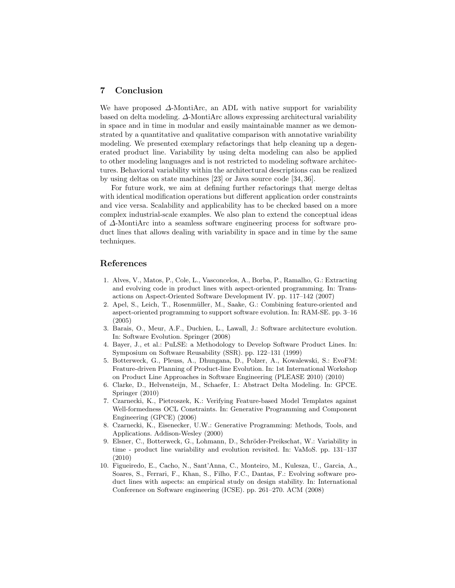# 7 Conclusion

We have proposed ∆-MontiArc, an ADL with native support for variability based on delta modeling. ∆-MontiArc allows expressing architectural variability in space and in time in modular and easily maintainable manner as we demonstrated by a quantitative and qualitative comparison with annotative variability modeling. We presented exemplary refactorings that help cleaning up a degenerated product line. Variability by using delta modeling can also be applied to other modeling languages and is not restricted to modeling software architectures. Behavioral variability within the architectural descriptions can be realized by using deltas on state machines [23] or Java source code [34, 36].

For future work, we aim at defining further refactorings that merge deltas with identical modification operations but different application order constraints and vice versa. Scalability and applicability has to be checked based on a more complex industrial-scale examples. We also plan to extend the conceptual ideas of ∆-MontiArc into a seamless software engineering process for software product lines that allows dealing with variability in space and in time by the same techniques.

### References

- 1. Alves, V., Matos, P., Cole, L., Vasconcelos, A., Borba, P., Ramalho, G.: Extracting and evolving code in product lines with aspect-oriented programming. In: Transactions on Aspect-Oriented Software Development IV. pp. 117–142 (2007)
- 2. Apel, S., Leich, T., Rosenmüller, M., Saake, G.: Combining feature-oriented and aspect-oriented programming to support software evolution. In: RAM-SE. pp. 3–16 (2005)
- 3. Barais, O., Meur, A.F., Duchien, L., Lawall, J.: Software architecture evolution. In: Software Evolution. Springer (2008)
- 4. Bayer, J., et al.: PuLSE: a Methodology to Develop Software Product Lines. In: Symposium on Software Reusability (SSR). pp. 122–131 (1999)
- 5. Botterweck, G., Pleuss, A., Dhungana, D., Polzer, A., Kowalewski, S.: EvoFM: Feature-driven Planning of Product-line Evolution. In: 1st International Workshop on Product Line Approaches in Software Engineering (PLEASE 2010) (2010)
- 6. Clarke, D., Helvensteijn, M., Schaefer, I.: Abstract Delta Modeling. In: GPCE. Springer (2010)
- 7. Czarnecki, K., Pietroszek, K.: Verifying Feature-based Model Templates against Well-formedness OCL Constraints. In: Generative Programming and Component Engineering (GPCE) (2006)
- 8. Czarnecki, K., Eisenecker, U.W.: Generative Programming: Methods, Tools, and Applications. Addison-Wesley (2000)
- 9. Elsner, C., Botterweck, G., Lohmann, D., Schröder-Preikschat, W.: Variability in time - product line variability and evolution revisited. In: VaMoS. pp. 131–137 (2010)
- 10. Figueiredo, E., Cacho, N., Sant'Anna, C., Monteiro, M., Kulesza, U., Garcia, A., Soares, S., Ferrari, F., Khan, S., Filho, F.C., Dantas, F.: Evolving software product lines with aspects: an empirical study on design stability. In: International Conference on Software engineering (ICSE). pp. 261–270. ACM (2008)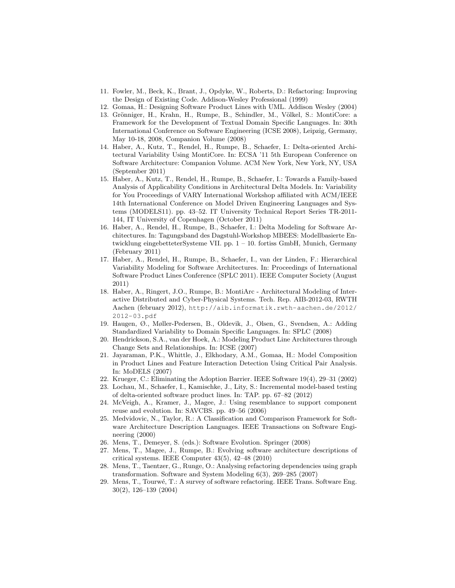- 11. Fowler, M., Beck, K., Brant, J., Opdyke, W., Roberts, D.: Refactoring: Improving the Design of Existing Code. Addison-Wesley Professional (1999)
- 12. Gomaa, H.: Designing Software Product Lines with UML. Addison Wesley (2004)
- 13. Grönniger, H., Krahn, H., Rumpe, B., Schindler, M., Völkel, S.: MontiCore: a Framework for the Development of Textual Domain Specific Languages. In: 30th International Conference on Software Engineering (ICSE 2008), Leipzig, Germany, May 10-18, 2008, Companion Volume (2008)
- 14. Haber, A., Kutz, T., Rendel, H., Rumpe, B., Schaefer, I.: Delta-oriented Architectural Variability Using MontiCore. In: ECSA '11 5th European Conference on Software Architecture: Companion Volume. ACM New York, New York, NY, USA (September 2011)
- 15. Haber, A., Kutz, T., Rendel, H., Rumpe, B., Schaefer, I.: Towards a Family-based Analysis of Applicability Conditions in Architectural Delta Models. In: Variability for You Proceedings of VARY International Workshop affiliated with ACM/IEEE 14th International Conference on Model Driven Engineering Languages and Systems (MODELS11). pp. 43–52. IT University Technical Report Series TR-2011- 144, IT University of Copenhagen (October 2011)
- 16. Haber, A., Rendel, H., Rumpe, B., Schaefer, I.: Delta Modeling for Software Architectures. In: Tagungsband des Dagstuhl-Workshop MBEES: Modellbasierte Entwicklung eingebetteterSysteme VII. pp. 1 – 10. fortiss GmbH, Munich, Germany (February 2011)
- 17. Haber, A., Rendel, H., Rumpe, B., Schaefer, I., van der Linden, F.: Hierarchical Variability Modeling for Software Architectures. In: Proceedings of International Software Product Lines Conference (SPLC 2011). IEEE Computer Society (August 2011)
- 18. Haber, A., Ringert, J.O., Rumpe, B.: MontiArc Architectural Modeling of Interactive Distributed and Cyber-Physical Systems. Tech. Rep. AIB-2012-03, RWTH Aachen (february 2012), http://aib.informatik.rwth-aachen.de/2012/ 2012-03.pdf
- 19. Haugen, Ø., Møller-Pedersen, B., Oldevik, J., Olsen, G., Svendsen, A.: Adding Standardized Variability to Domain Specific Languages. In: SPLC (2008)
- 20. Hendrickson, S.A., van der Hoek, A.: Modeling Product Line Architectures through Change Sets and Relationships. In: ICSE (2007)
- 21. Jayaraman, P.K., Whittle, J., Elkhodary, A.M., Gomaa, H.: Model Composition in Product Lines and Feature Interaction Detection Using Critical Pair Analysis. In: MoDELS (2007)
- 22. Krueger, C.: Eliminating the Adoption Barrier. IEEE Software 19(4), 29–31 (2002)
- 23. Lochau, M., Schaefer, I., Kamischke, J., Lity, S.: Incremental model-based testing of delta-oriented software product lines. In: TAP. pp. 67–82 (2012)
- 24. McVeigh, A., Kramer, J., Magee, J.: Using resemblance to support component reuse and evolution. In: SAVCBS. pp. 49–56 (2006)
- 25. Medvidovic, N., Taylor, R.: A Classification and Comparison Framework for Software Architecture Description Languages. IEEE Transactions on Software Engineering (2000)
- 26. Mens, T., Demeyer, S. (eds.): Software Evolution. Springer (2008)
- 27. Mens, T., Magee, J., Rumpe, B.: Evolving software architecture descriptions of critical systems. IEEE Computer 43(5), 42–48 (2010)
- 28. Mens, T., Taentzer, G., Runge, O.: Analysing refactoring dependencies using graph transformation. Software and System Modeling 6(3), 269–285 (2007)
- 29. Mens, T., Tourw´e, T.: A survey of software refactoring. IEEE Trans. Software Eng. 30(2), 126–139 (2004)